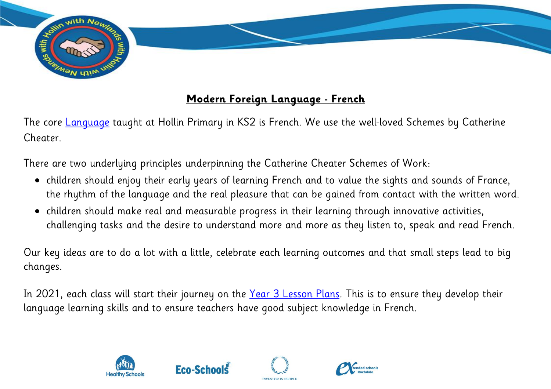

## **Modern Foreign Language - French**

The core [Language](https://assets.publishing.service.gov.uk/government/uploads/system/uploads/attachment_data/file/239042/PRIMARY_national_curriculum_-_Languages.pdf) taught at Hollin Primary in KS2 is French. We use the well-loved Schemes by Catherine Cheater.

There are two underlying principles underpinning the Catherine Cheater Schemes of Work:

- children should enjoy their early years of learning French and to value the sights and sounds of France, the rhythm of the language and the real pleasure that can be gained from contact with the written word.
- children should make real and measurable progress in their learning through innovative activities, challenging tasks and the desire to understand more and more as they listen to, speak and read French.

Our key ideas are to do a lot with a little, celebrate each learning outcomes and that small steps lead to big changes.

In 2021, each class will start their journey on the [Year 3 Lesson Plans.](https://hollinprimary-my.sharepoint.com/personal/vcooper_hollin_rochdale_sch_uk/Documents/Creative%20Curriculum/Curriculum%20Maps%20Progression/Hollin%20Curriculum%20Maps/Curriculum%20Maps/Fench%20Lesson%20Plans%20Year%203.pdf) This is to ensure they develop their language learning skills and to ensure teachers have good subject knowledge in French.







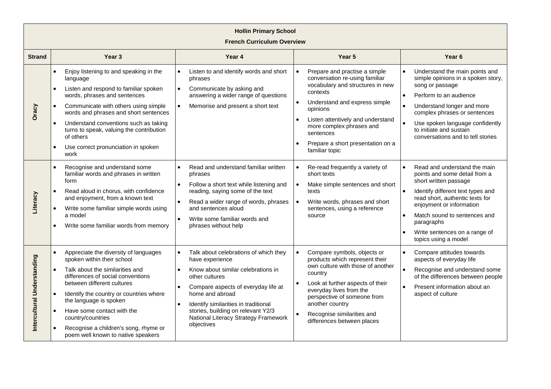| <b>Hollin Primary School</b><br><b>French Curriculum Overview</b> |                                                                                                                                                                                                                                                                                                                                                                                         |                                                                                                                                                                                                                                                                                                                                                                    |                                                                                                                                                                                                                                                                                                                                   |                                                                                                                                                                                                                                                                                                   |  |  |
|-------------------------------------------------------------------|-----------------------------------------------------------------------------------------------------------------------------------------------------------------------------------------------------------------------------------------------------------------------------------------------------------------------------------------------------------------------------------------|--------------------------------------------------------------------------------------------------------------------------------------------------------------------------------------------------------------------------------------------------------------------------------------------------------------------------------------------------------------------|-----------------------------------------------------------------------------------------------------------------------------------------------------------------------------------------------------------------------------------------------------------------------------------------------------------------------------------|---------------------------------------------------------------------------------------------------------------------------------------------------------------------------------------------------------------------------------------------------------------------------------------------------|--|--|
| <b>Strand</b>                                                     | Year <sub>3</sub>                                                                                                                                                                                                                                                                                                                                                                       | Year <sub>4</sub>                                                                                                                                                                                                                                                                                                                                                  | Year 5                                                                                                                                                                                                                                                                                                                            | Year <sub>6</sub>                                                                                                                                                                                                                                                                                 |  |  |
| Oracy                                                             | Enjoy listening to and speaking in the<br>language<br>Listen and respond to familiar spoken<br>$\bullet$<br>words, phrases and sentences<br>Communicate with others using simple<br>words and phrases and short sentences<br>Understand conventions such as taking<br>$\bullet$<br>turns to speak, valuing the contribution<br>of others<br>Use correct pronunciation in spoken<br>work | Listen to and identify words and short<br>$\bullet$<br>phrases<br>$\bullet$<br>Communicate by asking and<br>answering a wider range of questions<br>$\bullet$<br>Memorise and present a short text                                                                                                                                                                 | Prepare and practise a simple<br>conversation re-using familiar<br>vocabulary and structures in new<br>contexts<br>Understand and express simple<br>opinions<br>Listen attentively and understand<br>$\bullet$<br>more complex phrases and<br>sentences<br>Prepare a short presentation on a<br>familiar topic                    | Understand the main points and<br>$\bullet$<br>simple opinions in a spoken story,<br>song or passage<br>Perform to an audience<br>Understand longer and more<br>complex phrases or sentences<br>Use spoken language confidently<br>to initiate and sustain<br>conversations and to tell stories   |  |  |
| Literacy                                                          | Recognise and understand some<br>familiar words and phrases in written<br>form<br>Read aloud in chorus, with confidence<br>and enjoyment, from a known text<br>Write some familiar simple words using<br>a model<br>Write some familiar words from memory                                                                                                                               | Read and understand familiar written<br>$\bullet$<br>phrases<br>Follow a short text while listening and<br>$\bullet$<br>reading, saying some of the text<br>Read a wider range of words, phrases<br>$\bullet$<br>and sentences aloud<br>Write some familiar words and<br>$\bullet$<br>phrases without help                                                         | Re-read frequently a variety of<br>$\bullet$<br>short texts<br>$\bullet$<br>Make simple sentences and short<br>texts<br>Write words, phrases and short<br>sentences, using a reference<br>source                                                                                                                                  | Read and understand the main<br>points and some detail from a<br>short written passage<br>Identify different text types and<br>read short, authentic texts for<br>enjoyment or information<br>Match sound to sentences and<br>paragraphs<br>Write sentences on a range of<br>topics using a model |  |  |
| Intercultural Understanding                                       | Appreciate the diversity of languages<br>spoken within their school<br>Talk about the similarities and<br>differences of social conventions<br>between different cultures<br>Identify the country or countries where<br>the language is spoken<br>Have some contact with the<br>country/countries<br>Recognise a children's song, rhyme or<br>poem well known to native speakers        | Talk about celebrations of which they<br>$\bullet$<br>have experience<br>Know about similar celebrations in<br>$\bullet$<br>other cultures<br>Compare aspects of everyday life at<br>$\bullet$<br>home and abroad<br>Identify similarities in traditional<br>$\bullet$<br>stories, building on relevant Y2/3<br>National Literacy Strategy Framework<br>objectives | Compare symbols, objects or<br>$\bullet$<br>products which represent their<br>own culture with those of another<br>country<br>Look at further aspects of their<br>$\bullet$<br>everyday lives from the<br>perspective of someone from<br>another country<br>Recognise similarities and<br>$\bullet$<br>differences between places | Compare attitudes towards<br>aspects of everyday life<br>Recognise and understand some<br>of the differences between people<br>Present information about an<br>aspect of culture                                                                                                                  |  |  |